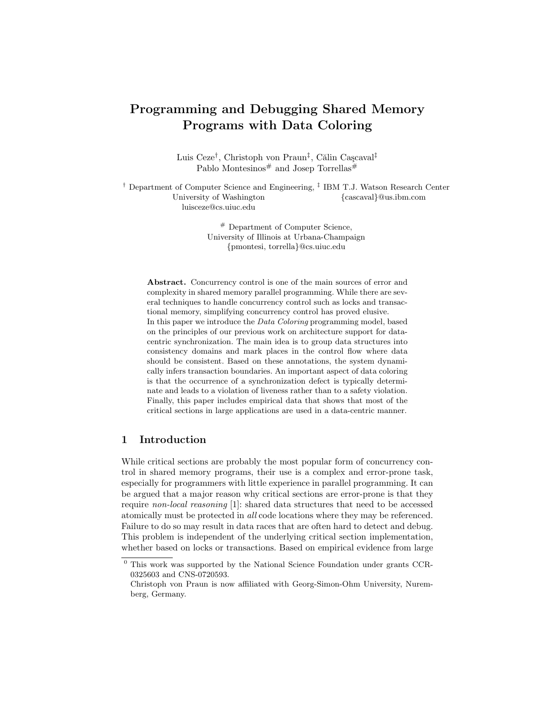# Programming and Debugging Shared Memory Programs with Data Coloring

Luis Ceze<sup>†</sup>, Christoph von Praun<sup>‡</sup>, Călin Caşcaval<sup>‡</sup> Pablo Montesinos<sup>#</sup> and Josep Torrellas<sup>#</sup>

<sup>†</sup> Department of Computer Science and Engineering, <sup>‡</sup> IBM T.J. Watson Research Center University of Washington {cascaval}@us.ibm.com luisceze@cs.uiuc.edu

> # Department of Computer Science, University of Illinois at Urbana-Champaign {pmontesi, torrella}@cs.uiuc.edu

Abstract. Concurrency control is one of the main sources of error and complexity in shared memory parallel programming. While there are several techniques to handle concurrency control such as locks and transactional memory, simplifying concurrency control has proved elusive. In this paper we introduce the Data Coloring programming model, based on the principles of our previous work on architecture support for datacentric synchronization. The main idea is to group data structures into consistency domains and mark places in the control flow where data should be consistent. Based on these annotations, the system dynamically infers transaction boundaries. An important aspect of data coloring is that the occurrence of a synchronization defect is typically determinate and leads to a violation of liveness rather than to a safety violation. Finally, this paper includes empirical data that shows that most of the critical sections in large applications are used in a data-centric manner.

# 1 Introduction

While critical sections are probably the most popular form of concurrency control in shared memory programs, their use is a complex and error-prone task, especially for programmers with little experience in parallel programming. It can be argued that a major reason why critical sections are error-prone is that they require non-local reasoning [1]: shared data structures that need to be accessed atomically must be protected in all code locations where they may be referenced. Failure to do so may result in data races that are often hard to detect and debug. This problem is independent of the underlying critical section implementation, whether based on locks or transactions. Based on empirical evidence from large

 $^{0}$  This work was supported by the National Science Foundation under grants CCR-0325603 and CNS-0720593.

Christoph von Praun is now affiliated with Georg-Simon-Ohm University, Nuremberg, Germany.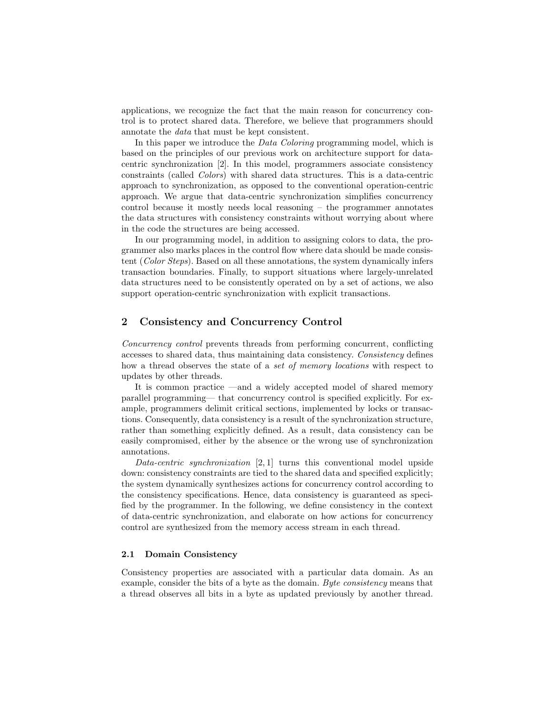applications, we recognize the fact that the main reason for concurrency control is to protect shared data. Therefore, we believe that programmers should annotate the data that must be kept consistent.

In this paper we introduce the Data Coloring programming model, which is based on the principles of our previous work on architecture support for datacentric synchronization [2]. In this model, programmers associate consistency constraints (called Colors) with shared data structures. This is a data-centric approach to synchronization, as opposed to the conventional operation-centric approach. We argue that data-centric synchronization simplifies concurrency control because it mostly needs local reasoning – the programmer annotates the data structures with consistency constraints without worrying about where in the code the structures are being accessed.

In our programming model, in addition to assigning colors to data, the programmer also marks places in the control flow where data should be made consistent (Color Steps). Based on all these annotations, the system dynamically infers transaction boundaries. Finally, to support situations where largely-unrelated data structures need to be consistently operated on by a set of actions, we also support operation-centric synchronization with explicit transactions.

# 2 Consistency and Concurrency Control

Concurrency control prevents threads from performing concurrent, conflicting accesses to shared data, thus maintaining data consistency. Consistency defines how a thread observes the state of a *set of memory locations* with respect to updates by other threads.

It is common practice —and a widely accepted model of shared memory parallel programming— that concurrency control is specified explicitly. For example, programmers delimit critical sections, implemented by locks or transactions. Consequently, data consistency is a result of the synchronization structure, rather than something explicitly defined. As a result, data consistency can be easily compromised, either by the absence or the wrong use of synchronization annotations.

Data-centric synchronization  $[2, 1]$  turns this conventional model upside down: consistency constraints are tied to the shared data and specified explicitly; the system dynamically synthesizes actions for concurrency control according to the consistency specifications. Hence, data consistency is guaranteed as specified by the programmer. In the following, we define consistency in the context of data-centric synchronization, and elaborate on how actions for concurrency control are synthesized from the memory access stream in each thread.

### 2.1 Domain Consistency

Consistency properties are associated with a particular data domain. As an example, consider the bits of a byte as the domain. Byte consistency means that a thread observes all bits in a byte as updated previously by another thread.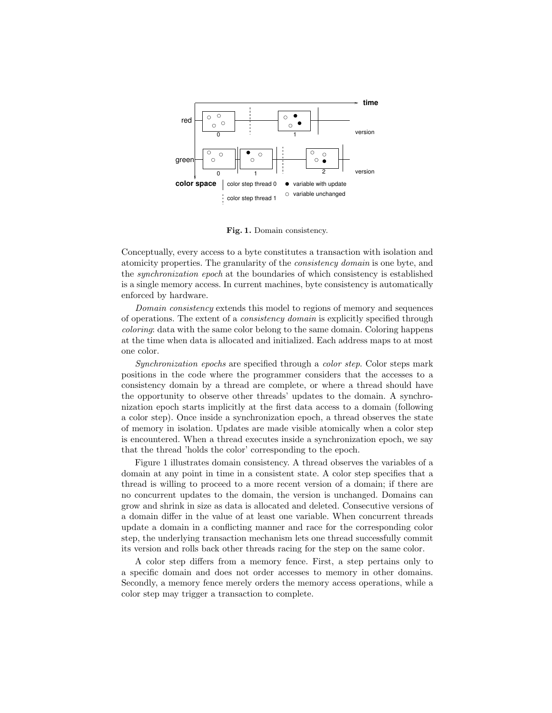

Fig. 1. Domain consistency.

Conceptually, every access to a byte constitutes a transaction with isolation and atomicity properties. The granularity of the consistency domain is one byte, and the synchronization epoch at the boundaries of which consistency is established is a single memory access. In current machines, byte consistency is automatically enforced by hardware.

Domain consistency extends this model to regions of memory and sequences of operations. The extent of a consistency domain is explicitly specified through coloring: data with the same color belong to the same domain. Coloring happens at the time when data is allocated and initialized. Each address maps to at most one color.

Synchronization epochs are specified through a color step. Color steps mark positions in the code where the programmer considers that the accesses to a consistency domain by a thread are complete, or where a thread should have the opportunity to observe other threads' updates to the domain. A synchronization epoch starts implicitly at the first data access to a domain (following a color step). Once inside a synchronization epoch, a thread observes the state of memory in isolation. Updates are made visible atomically when a color step is encountered. When a thread executes inside a synchronization epoch, we say that the thread 'holds the color' corresponding to the epoch.

Figure 1 illustrates domain consistency. A thread observes the variables of a domain at any point in time in a consistent state. A color step specifies that a thread is willing to proceed to a more recent version of a domain; if there are no concurrent updates to the domain, the version is unchanged. Domains can grow and shrink in size as data is allocated and deleted. Consecutive versions of a domain differ in the value of at least one variable. When concurrent threads update a domain in a conflicting manner and race for the corresponding color step, the underlying transaction mechanism lets one thread successfully commit its version and rolls back other threads racing for the step on the same color.

A color step differs from a memory fence. First, a step pertains only to a specific domain and does not order accesses to memory in other domains. Secondly, a memory fence merely orders the memory access operations, while a color step may trigger a transaction to complete.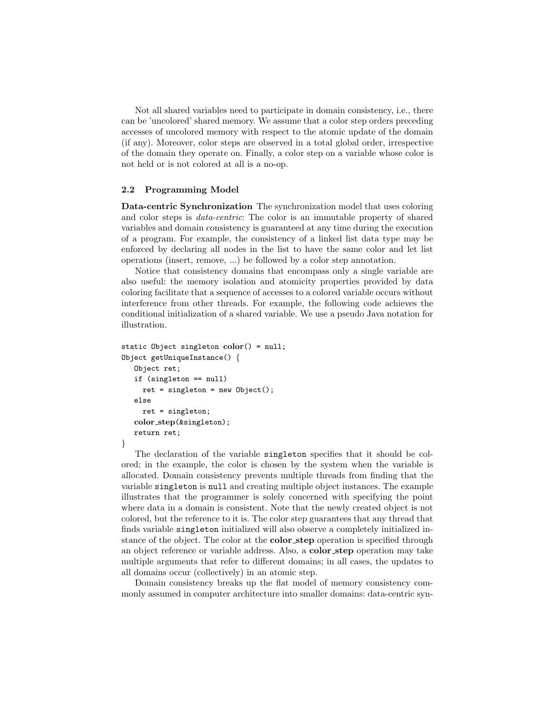Not all shared variables need to participate in domain consistency, i.e., there can be 'uncolored' shared memory. We assume that a color step orders preceding accesses of uncolored memory with respect to the atomic update of the domain (if any). Moreover, color steps are observed in a total global order, irrespective of the domain they operate on. Finally, a color step on a variable whose color is not held or is not colored at all is a no-op.

#### 2.2 Programming Model

Data-centric Synchronization The synchronization model that uses coloring and color steps is data-centric: The color is an immutable property of shared variables and domain consistency is guaranteed at any time during the execution of a program. For example, the consistency of a linked list data type may be enforced by declaring all nodes in the list to have the same color and let list operations (insert, remove, ...) be followed by a color step annotation.

Notice that consistency domains that encompass only a single variable are also useful: the memory isolation and atomicity properties provided by data coloring facilitate that a sequence of accesses to a colored variable occurs without interference from other threads. For example, the following code achieves the conditional initialization of a shared variable. We use a pseudo Java notation for illustration.

```
static Object singleton color() = null;
Object getUniqueInstance() {
   Object ret;
   if (singleton == null)
     ret = singleton = new Object();else
    ret = singleton;
   color_step(&singleton);
   return ret;
}
```
The declaration of the variable singleton specifies that it should be colored; in the example, the color is chosen by the system when the variable is allocated. Domain consistency prevents multiple threads from finding that the variable singleton is null and creating multiple object instances. The example illustrates that the programmer is solely concerned with specifying the point where data in a domain is consistent. Note that the newly created object is not colored, but the reference to it is. The color step guarantees that any thread that finds variable singleton initialized will also observe a completely initialized instance of the object. The color at the **color step** operation is specified through an object reference or variable address. Also, a color step operation may take multiple arguments that refer to different domains; in all cases, the updates to all domains occur (collectively) in an atomic step.

Domain consistency breaks up the flat model of memory consistency commonly assumed in computer architecture into smaller domains: data-centric syn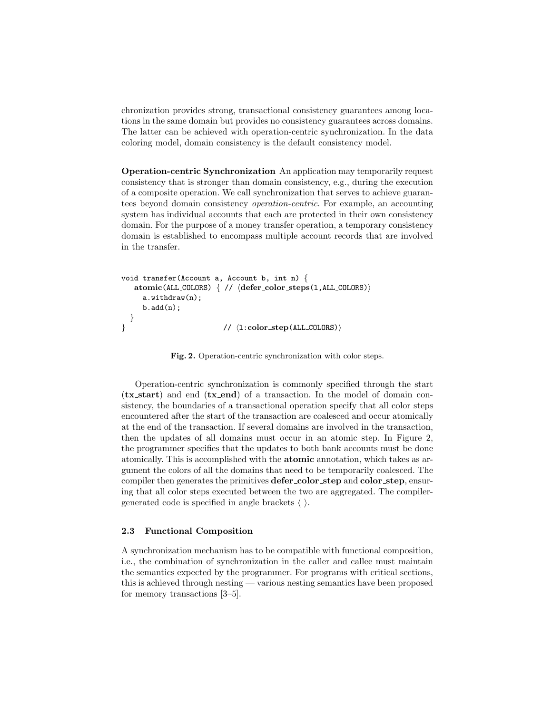chronization provides strong, transactional consistency guarantees among locations in the same domain but provides no consistency guarantees across domains. The latter can be achieved with operation-centric synchronization. In the data coloring model, domain consistency is the default consistency model.

Operation-centric Synchronization An application may temporarily request consistency that is stronger than domain consistency, e.g., during the execution of a composite operation. We call synchronization that serves to achieve guarantees beyond domain consistency operation-centric. For example, an accounting system has individual accounts that each are protected in their own consistency domain. For the purpose of a money transfer operation, a temporary consistency domain is established to encompass multiple account records that are involved in the transfer.

```
void transfer(Account a, Account b, int n) {
   atomic(ALL\_COLORS) { // \langle defer\_color\_steps(1, ALL\_COLORS)}
     a.withdraw(n);
     b.add(n);}
\} // \langle 1:\text{color\_step}(\text{ALL\_COLORS})\rangle
```
Fig. 2. Operation-centric synchronization with color steps.

Operation-centric synchronization is commonly specified through the start  $(tx_{\text{start}})$  and end  $(tx_{\text{end}})$  of a transaction. In the model of domain consistency, the boundaries of a transactional operation specify that all color steps encountered after the start of the transaction are coalesced and occur atomically at the end of the transaction. If several domains are involved in the transaction, then the updates of all domains must occur in an atomic step. In Figure 2, the programmer specifies that the updates to both bank accounts must be done atomically. This is accomplished with the atomic annotation, which takes as argument the colors of all the domains that need to be temporarily coalesced. The compiler then generates the primitives **defer\_color\_step** and **color\_step**, ensuring that all color steps executed between the two are aggregated. The compilergenerated code is specified in angle brackets  $\langle \ \rangle$ .

### 2.3 Functional Composition

A synchronization mechanism has to be compatible with functional composition, i.e., the combination of synchronization in the caller and callee must maintain the semantics expected by the programmer. For programs with critical sections, this is achieved through nesting — various nesting semantics have been proposed for memory transactions [3–5].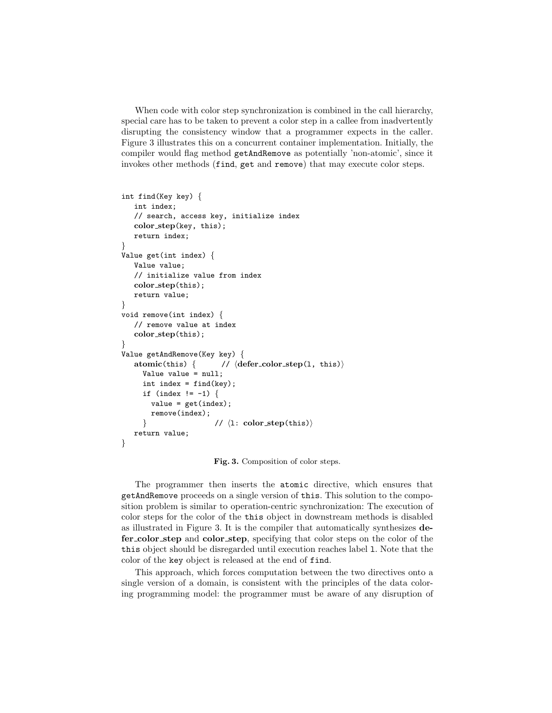When code with color step synchronization is combined in the call hierarchy, special care has to be taken to prevent a color step in a callee from inadvertently disrupting the consistency window that a programmer expects in the caller. Figure 3 illustrates this on a concurrent container implementation. Initially, the compiler would flag method getAndRemove as potentially 'non-atomic', since it invokes other methods (find, get and remove) that may execute color steps.

```
int find(Key key) {
   int index;
   // search, access key, initialize index
   color step(key, this);
   return index;
}
Value get(int index) {
   Value value;
   // initialize value from index
   color step(this);
   return value;
}
void remove(int index) {
   // remove value at index
   color step(this);
}
Value getAndRemove(Key key) {
   atomic(this) { \frac{1}{\det(\text{er}_\text{color\_step}(1, t) + \text{tris})}Value value = null;
     int index = find(key);
     if (index != -1) {
       value = get(index);remove(index);
     \} // \langle 1: \text{color\_step(this)} \ranglereturn value;
}
```
Fig. 3. Composition of color steps.

The programmer then inserts the atomic directive, which ensures that getAndRemove proceeds on a single version of this. This solution to the composition problem is similar to operation-centric synchronization: The execution of color steps for the color of the this object in downstream methods is disabled as illustrated in Figure 3. It is the compiler that automatically synthesizes defer color step and color step, specifying that color steps on the color of the this object should be disregarded until execution reaches label l. Note that the color of the key object is released at the end of find.

This approach, which forces computation between the two directives onto a single version of a domain, is consistent with the principles of the data coloring programming model: the programmer must be aware of any disruption of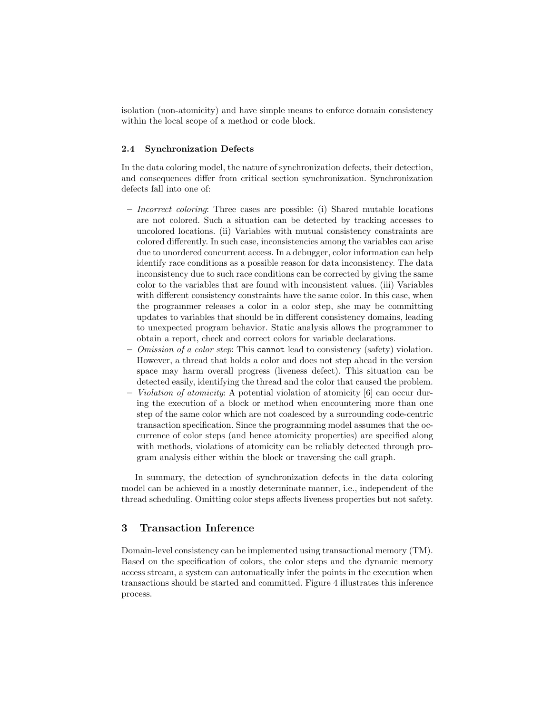isolation (non-atomicity) and have simple means to enforce domain consistency within the local scope of a method or code block.

### 2.4 Synchronization Defects

In the data coloring model, the nature of synchronization defects, their detection, and consequences differ from critical section synchronization. Synchronization defects fall into one of:

- Incorrect coloring: Three cases are possible: (i) Shared mutable locations are not colored. Such a situation can be detected by tracking accesses to uncolored locations. (ii) Variables with mutual consistency constraints are colored differently. In such case, inconsistencies among the variables can arise due to unordered concurrent access. In a debugger, color information can help identify race conditions as a possible reason for data inconsistency. The data inconsistency due to such race conditions can be corrected by giving the same color to the variables that are found with inconsistent values. (iii) Variables with different consistency constraints have the same color. In this case, when the programmer releases a color in a color step, she may be committing updates to variables that should be in different consistency domains, leading to unexpected program behavior. Static analysis allows the programmer to obtain a report, check and correct colors for variable declarations.
- Omission of a color step: This cannot lead to consistency (safety) violation. However, a thread that holds a color and does not step ahead in the version space may harm overall progress (liveness defect). This situation can be detected easily, identifying the thread and the color that caused the problem.
- Violation of atomicity: A potential violation of atomicity [6] can occur during the execution of a block or method when encountering more than one step of the same color which are not coalesced by a surrounding code-centric transaction specification. Since the programming model assumes that the occurrence of color steps (and hence atomicity properties) are specified along with methods, violations of atomicity can be reliably detected through program analysis either within the block or traversing the call graph.

In summary, the detection of synchronization defects in the data coloring model can be achieved in a mostly determinate manner, i.e., independent of the thread scheduling. Omitting color steps affects liveness properties but not safety.

# 3 Transaction Inference

Domain-level consistency can be implemented using transactional memory (TM). Based on the specification of colors, the color steps and the dynamic memory access stream, a system can automatically infer the points in the execution when transactions should be started and committed. Figure 4 illustrates this inference process.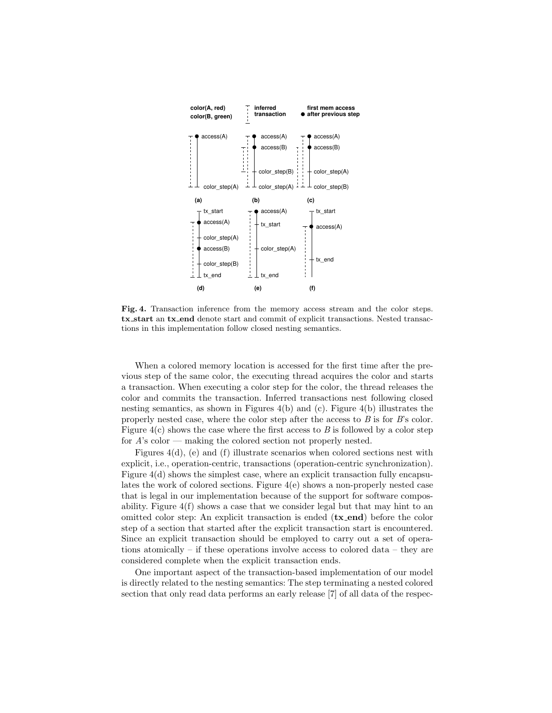

Fig. 4. Transaction inference from the memory access stream and the color steps. tx start an tx end denote start and commit of explicit transactions. Nested transactions in this implementation follow closed nesting semantics.

When a colored memory location is accessed for the first time after the previous step of the same color, the executing thread acquires the color and starts a transaction. When executing a color step for the color, the thread releases the color and commits the transaction. Inferred transactions nest following closed nesting semantics, as shown in Figures  $4(b)$  and (c). Figure  $4(b)$  illustrates the properly nested case, where the color step after the access to  $B$  is for  $B$ 's color. Figure  $4(c)$  shows the case where the first access to B is followed by a color step for  $A$ 's color — making the colored section not properly nested.

Figures 4(d), (e) and (f) illustrate scenarios when colored sections nest with explicit, i.e., operation-centric, transactions (operation-centric synchronization). Figure  $4(d)$  shows the simplest case, where an explicit transaction fully encapsulates the work of colored sections. Figure 4(e) shows a non-properly nested case that is legal in our implementation because of the support for software composability. Figure 4(f) shows a case that we consider legal but that may hint to an omitted color step: An explicit transaction is ended  $(\mathbf{tx}\text{-end})$  before the color step of a section that started after the explicit transaction start is encountered. Since an explicit transaction should be employed to carry out a set of operations atomically – if these operations involve access to colored data – they are considered complete when the explicit transaction ends.

One important aspect of the transaction-based implementation of our model is directly related to the nesting semantics: The step terminating a nested colored section that only read data performs an early release [7] of all data of the respec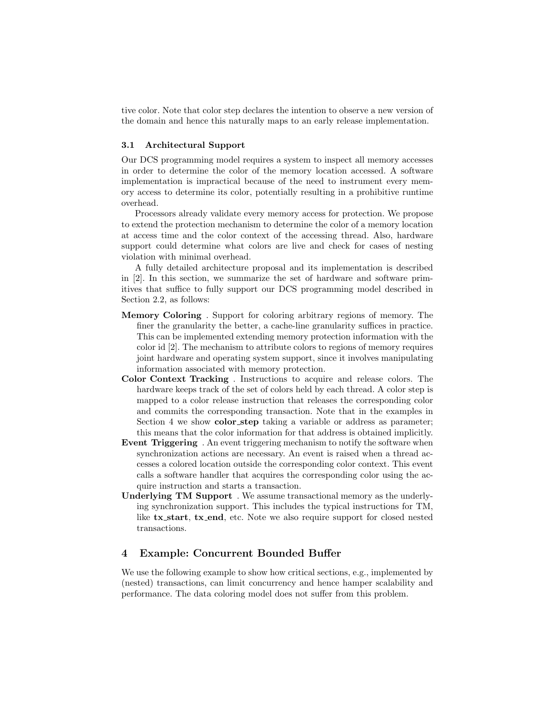tive color. Note that color step declares the intention to observe a new version of the domain and hence this naturally maps to an early release implementation.

### 3.1 Architectural Support

Our DCS programming model requires a system to inspect all memory accesses in order to determine the color of the memory location accessed. A software implementation is impractical because of the need to instrument every memory access to determine its color, potentially resulting in a prohibitive runtime overhead.

Processors already validate every memory access for protection. We propose to extend the protection mechanism to determine the color of a memory location at access time and the color context of the accessing thread. Also, hardware support could determine what colors are live and check for cases of nesting violation with minimal overhead.

A fully detailed architecture proposal and its implementation is described in [2]. In this section, we summarize the set of hardware and software primitives that suffice to fully support our DCS programming model described in Section 2.2, as follows:

- Memory Coloring . Support for coloring arbitrary regions of memory. The finer the granularity the better, a cache-line granularity suffices in practice. This can be implemented extending memory protection information with the color id [2]. The mechanism to attribute colors to regions of memory requires joint hardware and operating system support, since it involves manipulating information associated with memory protection.
- Color Context Tracking . Instructions to acquire and release colors. The hardware keeps track of the set of colors held by each thread. A color step is mapped to a color release instruction that releases the corresponding color and commits the corresponding transaction. Note that in the examples in Section 4 we show **color\_step** taking a variable or address as parameter; this means that the color information for that address is obtained implicitly.
- Event Triggering . An event triggering mechanism to notify the software when synchronization actions are necessary. An event is raised when a thread accesses a colored location outside the corresponding color context. This event calls a software handler that acquires the corresponding color using the acquire instruction and starts a transaction.
- Underlying TM Support . We assume transactional memory as the underlying synchronization support. This includes the typical instructions for TM, like tx start, tx end, etc. Note we also require support for closed nested transactions.

### 4 Example: Concurrent Bounded Buffer

We use the following example to show how critical sections, e.g., implemented by (nested) transactions, can limit concurrency and hence hamper scalability and performance. The data coloring model does not suffer from this problem.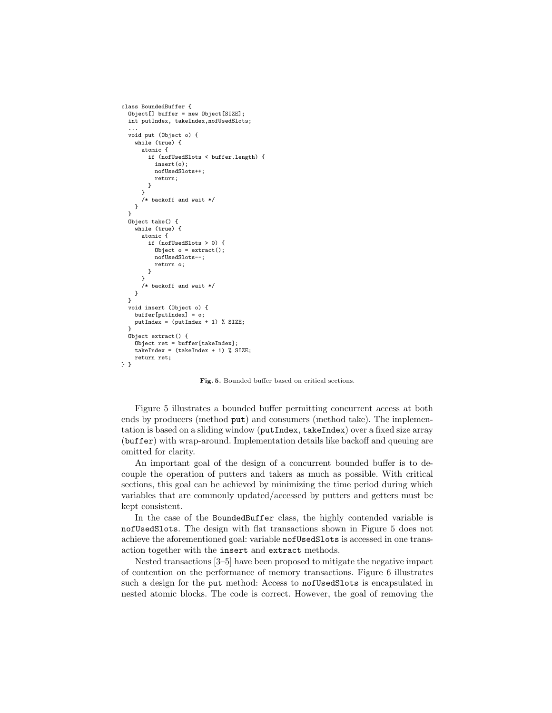```
class BoundedBuffer {
  Object[] buffer = new Object[SIZE];
  int putIndex, takeIndex,nofUsedSlots;
  ...
void put (Object o) {
    while (true) {
      atomic {
         if (nofUsedSlots < buffer.length) {
           insert(o);
           nofUsedSlots++;
           return;
        }
      }
         /* backoff and wait */
    }
  }
Object take() {
    while (true) {
      atomic {
        if (nofUsedSlots > 0) {
           Object o = extract();
           nofUsedSlots--;
           return o;
        \overline{ }}
         /* backoff and wait */
    }
  }
  void insert (Object o) {
    buffer[putIndex] = o;
    putIndex = (putIndex + 1) % SIZE;
  }
  Object extract() {
    Object ret = buffer[takeIndex];
takeIndex = (takeIndex + 1) % SIZE;
    return ret;
} }
```
Fig. 5. Bounded buffer based on critical sections.

Figure 5 illustrates a bounded buffer permitting concurrent access at both ends by producers (method put) and consumers (method take). The implementation is based on a sliding window (putIndex, takeIndex) over a fixed size array (buffer) with wrap-around. Implementation details like backoff and queuing are omitted for clarity.

An important goal of the design of a concurrent bounded buffer is to decouple the operation of putters and takers as much as possible. With critical sections, this goal can be achieved by minimizing the time period during which variables that are commonly updated/accessed by putters and getters must be kept consistent.

In the case of the BoundedBuffer class, the highly contended variable is nofUsedSlots. The design with flat transactions shown in Figure 5 does not achieve the aforementioned goal: variable nofUsedSlots is accessed in one transaction together with the insert and extract methods.

Nested transactions [3–5] have been proposed to mitigate the negative impact of contention on the performance of memory transactions. Figure 6 illustrates such a design for the put method: Access to nofUsedSlots is encapsulated in nested atomic blocks. The code is correct. However, the goal of removing the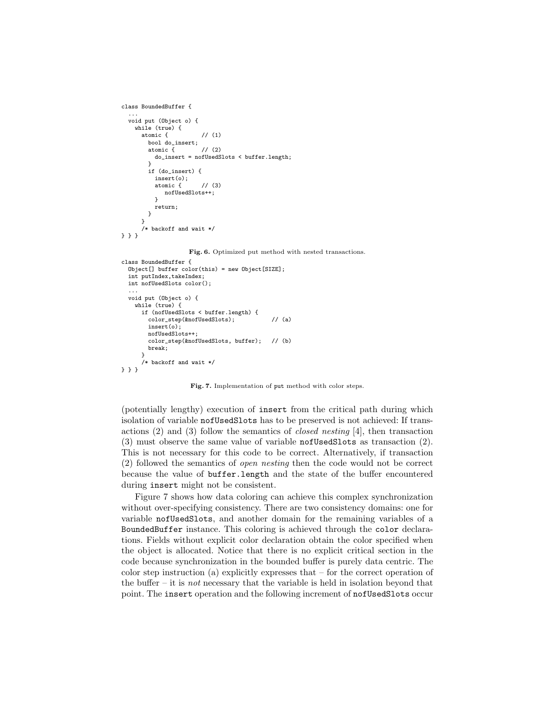```
class BoundedBuffer {
  ...
void put (Object o) {
    while (true) {
      atomic { // (1)
       bool do_insert;
       atomic { // (2)
          do_insert = nofUsedSlots < buffer.length;
        }
        if (do_insert) {
          insert(o);
          atomic { // (3)
            nofUsedSlots++;
          }
         return;
       }
      }
/* backoff and wait */
} } }
class BoundedBuffer {
```
Fig. 6. Optimized put method with nested transactions.

```
Object[] buffer color(this) = new Object[SIZE];
  int putIndex,takeIndex;
 int nofUsedSlots color();
  ...
void put (Object o) {
   while (true) {
     if (nofUsedSlots < buffer.length) {
       color_step(&nofUsedSlots); // (a)
       insert(o);
       nofUsedSlots++;
       color_step(&nofUsedSlots, buffer); // (b)
       break;
      }
/* backoff and wait */
} } }
```
Fig. 7. Implementation of put method with color steps.

(potentially lengthy) execution of insert from the critical path during which isolation of variable nofUsedSlots has to be preserved is not achieved: If transactions (2) and (3) follow the semantics of closed nesting [4], then transaction (3) must observe the same value of variable nofUsedSlots as transaction (2). This is not necessary for this code to be correct. Alternatively, if transaction (2) followed the semantics of open nesting then the code would not be correct because the value of buffer.length and the state of the buffer encountered during insert might not be consistent.

Figure 7 shows how data coloring can achieve this complex synchronization without over-specifying consistency. There are two consistency domains: one for variable nofUsedSlots, and another domain for the remaining variables of a BoundedBuffer instance. This coloring is achieved through the color declarations. Fields without explicit color declaration obtain the color specified when the object is allocated. Notice that there is no explicit critical section in the code because synchronization in the bounded buffer is purely data centric. The color step instruction (a) explicitly expresses that – for the correct operation of the buffer – it is *not* necessary that the variable is held in isolation beyond that point. The insert operation and the following increment of nofUsedSlots occur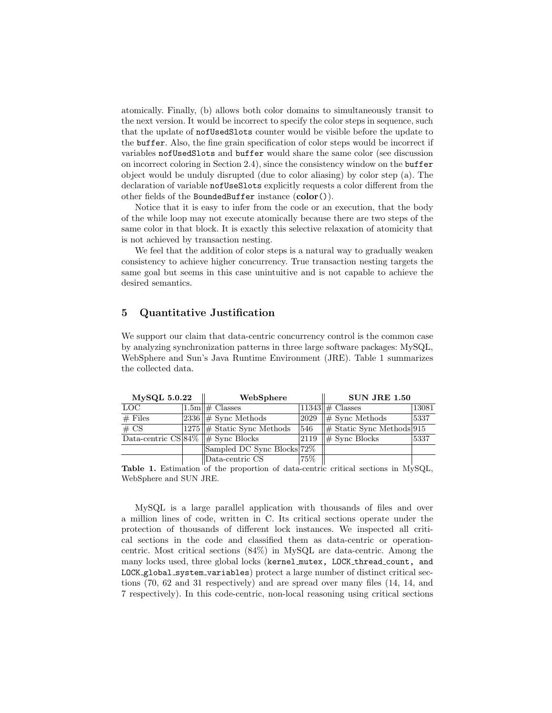atomically. Finally, (b) allows both color domains to simultaneously transit to the next version. It would be incorrect to specify the color steps in sequence, such that the update of nofUsedSlots counter would be visible before the update to the buffer. Also, the fine grain specification of color steps would be incorrect if variables nofUsedSlots and buffer would share the same color (see discussion on incorrect coloring in Section 2.4), since the consistency window on the buffer object would be unduly disrupted (due to color aliasing) by color step (a). The declaration of variable nofUseSlots explicitly requests a color different from the other fields of the BoundedBuffer instance (color()).

Notice that it is easy to infer from the code or an execution, that the body of the while loop may not execute atomically because there are two steps of the same color in that block. It is exactly this selective relaxation of atomicity that is not achieved by transaction nesting.

We feel that the addition of color steps is a natural way to gradually weaken consistency to achieve higher concurrency. True transaction nesting targets the same goal but seems in this case unintuitive and is not capable to achieve the desired semantics.

## 5 Quantitative Justification

We support our claim that data-centric concurrency control is the common case by analyzing synchronization patterns in three large software packages: MySQL, WebSphere and Sun's Java Runtime Environment (JRE). Table 1 summarizes the collected data.

| MySQL 5.0.22                           |  | WebSphere                        |      | <b>SUN JRE 1.50</b>                    |       |
|----------------------------------------|--|----------------------------------|------|----------------------------------------|-------|
| <b>LOC</b>                             |  | $1.5m$ $\#$ Classes              |      | $ 11343  \#$ Classes                   | 13081 |
| $#$ Files                              |  | $ 2336  \#$ Sync Methods         | 2029 | $\parallel \#$ Sync Methods            | 5337  |
| $\#$ CS                                |  | $\ 1275\ $ # Static Sync Methods | 546  | $\parallel \#$ Static Sync Methods 915 |       |
| Data-centric $CS 84\%  \#$ Sync Blocks |  |                                  | 2119 | $\parallel \#$ Sync Blocks             | 5337  |
|                                        |  | Sampled DC Sync Blocks 72%       |      |                                        |       |
|                                        |  | $\vert$ Data-centric CS          | 75%  |                                        |       |

Table 1. Estimation of the proportion of data-centric critical sections in MySQL, WebSphere and SUN JRE.

MySQL is a large parallel application with thousands of files and over a million lines of code, written in C. Its critical sections operate under the protection of thousands of different lock instances. We inspected all critical sections in the code and classified them as data-centric or operationcentric. Most critical sections (84%) in MySQL are data-centric. Among the many locks used, three global locks (kernel mutex, LOCK thread count, and LOCK global system variables) protect a large number of distinct critical sections (70, 62 and 31 respectively) and are spread over many files (14, 14, and 7 respectively). In this code-centric, non-local reasoning using critical sections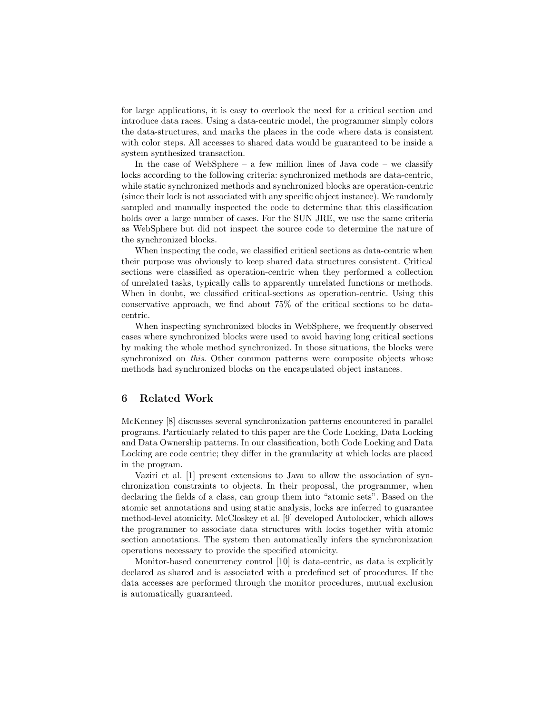for large applications, it is easy to overlook the need for a critical section and introduce data races. Using a data-centric model, the programmer simply colors the data-structures, and marks the places in the code where data is consistent with color steps. All accesses to shared data would be guaranteed to be inside a system synthesized transaction.

In the case of WebSphere – a few million lines of Java code – we classify locks according to the following criteria: synchronized methods are data-centric, while static synchronized methods and synchronized blocks are operation-centric (since their lock is not associated with any specific object instance). We randomly sampled and manually inspected the code to determine that this classification holds over a large number of cases. For the SUN JRE, we use the same criteria as WebSphere but did not inspect the source code to determine the nature of the synchronized blocks.

When inspecting the code, we classified critical sections as data-centric when their purpose was obviously to keep shared data structures consistent. Critical sections were classified as operation-centric when they performed a collection of unrelated tasks, typically calls to apparently unrelated functions or methods. When in doubt, we classified critical-sections as operation-centric. Using this conservative approach, we find about 75% of the critical sections to be datacentric.

When inspecting synchronized blocks in WebSphere, we frequently observed cases where synchronized blocks were used to avoid having long critical sections by making the whole method synchronized. In those situations, the blocks were synchronized on *this*. Other common patterns were composite objects whose methods had synchronized blocks on the encapsulated object instances.

### 6 Related Work

McKenney [8] discusses several synchronization patterns encountered in parallel programs. Particularly related to this paper are the Code Locking, Data Locking and Data Ownership patterns. In our classification, both Code Locking and Data Locking are code centric; they differ in the granularity at which locks are placed in the program.

Vaziri et al. [1] present extensions to Java to allow the association of synchronization constraints to objects. In their proposal, the programmer, when declaring the fields of a class, can group them into "atomic sets". Based on the atomic set annotations and using static analysis, locks are inferred to guarantee method-level atomicity. McCloskey et al. [9] developed Autolocker, which allows the programmer to associate data structures with locks together with atomic section annotations. The system then automatically infers the synchronization operations necessary to provide the specified atomicity.

Monitor-based concurrency control [10] is data-centric, as data is explicitly declared as shared and is associated with a predefined set of procedures. If the data accesses are performed through the monitor procedures, mutual exclusion is automatically guaranteed.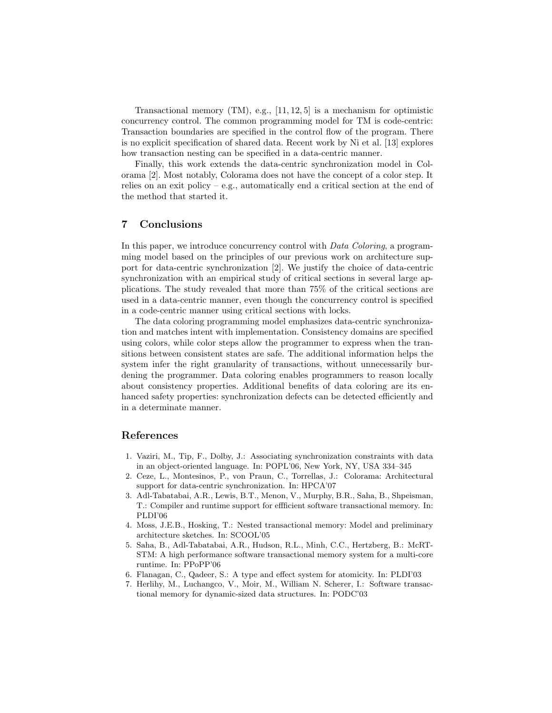Transactional memory (TM), e.g., [11, 12, 5] is a mechanism for optimistic concurrency control. The common programming model for TM is code-centric: Transaction boundaries are specified in the control flow of the program. There is no explicit specification of shared data. Recent work by Ni et al. [13] explores how transaction nesting can be specified in a data-centric manner.

Finally, this work extends the data-centric synchronization model in Colorama [2]. Most notably, Colorama does not have the concept of a color step. It relies on an exit policy – e.g., automatically end a critical section at the end of the method that started it.

### 7 Conclusions

In this paper, we introduce concurrency control with *Data Coloring*, a programming model based on the principles of our previous work on architecture support for data-centric synchronization [2]. We justify the choice of data-centric synchronization with an empirical study of critical sections in several large applications. The study revealed that more than 75% of the critical sections are used in a data-centric manner, even though the concurrency control is specified in a code-centric manner using critical sections with locks.

The data coloring programming model emphasizes data-centric synchronization and matches intent with implementation. Consistency domains are specified using colors, while color steps allow the programmer to express when the transitions between consistent states are safe. The additional information helps the system infer the right granularity of transactions, without unnecessarily burdening the programmer. Data coloring enables programmers to reason locally about consistency properties. Additional benefits of data coloring are its enhanced safety properties: synchronization defects can be detected efficiently and in a determinate manner.

## References

- 1. Vaziri, M., Tip, F., Dolby, J.: Associating synchronization constraints with data in an object-oriented language. In: POPL'06, New York, NY, USA 334–345
- 2. Ceze, L., Montesinos, P., von Praun, C., Torrellas, J.: Colorama: Architectural support for data-centric synchronization. In: HPCA'07
- 3. Adl-Tabatabai, A.R., Lewis, B.T., Menon, V., Murphy, B.R., Saha, B., Shpeisman, T.: Compiler and runtime support for effficient software transactional memory. In: PLDI'06
- 4. Moss, J.E.B., Hosking, T.: Nested transactional memory: Model and preliminary architecture sketches. In: SCOOL'05
- 5. Saha, B., Adl-Tabatabai, A.R., Hudson, R.L., Minh, C.C., Hertzberg, B.: McRT-STM: A high performance software transactional memory system for a multi-core runtime. In: PPoPP'06
- 6. Flanagan, C., Qadeer, S.: A type and effect system for atomicity. In: PLDI'03
- 7. Herlihy, M., Luchangco, V., Moir, M., William N. Scherer, I.: Software transactional memory for dynamic-sized data structures. In: PODC'03